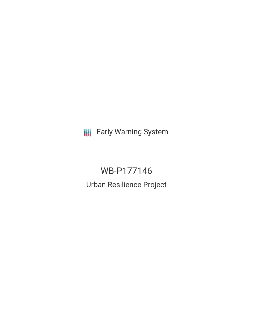**III** Early Warning System

# WB-P177146

Urban Resilience Project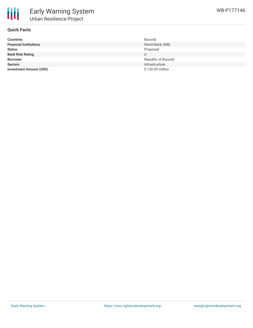

#### **Quick Facts**

| <b>Countries</b>               | Burundi             |
|--------------------------------|---------------------|
| <b>Financial Institutions</b>  | World Bank (WB)     |
| <b>Status</b>                  | Proposed            |
| <b>Bank Risk Rating</b>        | U                   |
| <b>Borrower</b>                | Republic of Burundi |
| <b>Sectors</b>                 | Infrastructure      |
| <b>Investment Amount (USD)</b> | \$120.00 million    |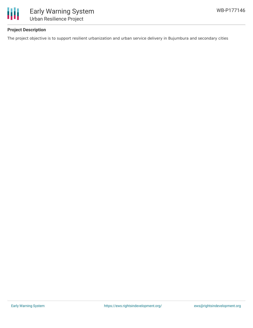

## **Project Description**

The project objective is to support resilient urbanization and urban service delivery in Bujumbura and secondary cities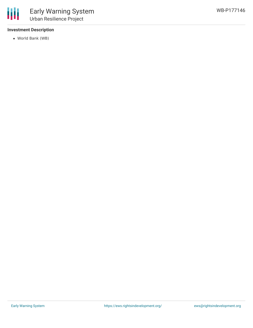#### **Investment Description**

World Bank (WB)